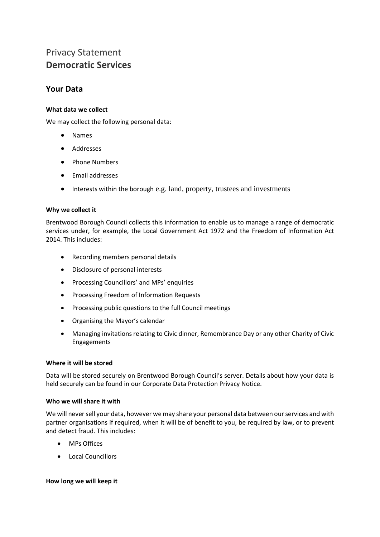# Privacy Statement **Democratic Services**

# **Your Data**

### **What data we collect**

We may collect the following personal data:

- Names
- Addresses
- Phone Numbers
- Email addresses
- Interests within the borough e.g. land, property, trustees and investments

#### **Why we collect it**

Brentwood Borough Council collects this information to enable us to manage a range of democratic services under, for example, the Local Government Act 1972 and the Freedom of Information Act 2014. This includes:

- Recording members personal details
- Disclosure of personal interests
- Processing Councillors' and MPs' enquiries
- Processing Freedom of Information Requests
- Processing public questions to the full Council meetings
- Organising the Mayor's calendar
- Managing invitations relating to Civic dinner, Remembrance Day or any other Charity of Civic Engagements

### **Where it will be stored**

Data will be stored securely on Brentwood Borough Council's server. Details about how your data is held securely can be found in our Corporate Data Protection Privacy Notice.

#### **Who we will share it with**

We will never sell your data, however we may share your personal data between our services and with partner organisations if required, when it will be of benefit to you, be required by law, or to prevent and detect fraud. This includes:

- MPs Offices
- Local Councillors

#### **How long we will keep it**